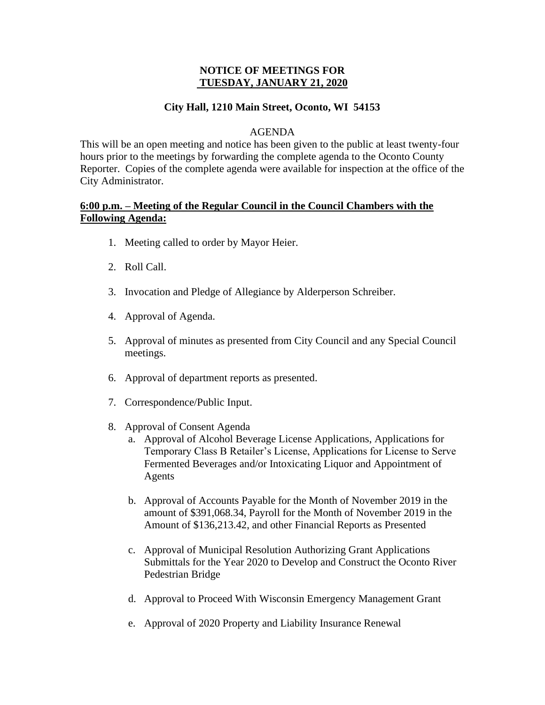# **NOTICE OF MEETINGS FOR TUESDAY, JANUARY 21, 2020**

# **City Hall, 1210 Main Street, Oconto, WI 54153**

#### AGENDA

This will be an open meeting and notice has been given to the public at least twenty-four hours prior to the meetings by forwarding the complete agenda to the Oconto County Reporter. Copies of the complete agenda were available for inspection at the office of the City Administrator.

# **6:00 p.m. – Meeting of the Regular Council in the Council Chambers with the Following Agenda:**

- 1. Meeting called to order by Mayor Heier.
- 2. Roll Call.
- 3. Invocation and Pledge of Allegiance by Alderperson Schreiber.
- 4. Approval of Agenda.
- 5. Approval of minutes as presented from City Council and any Special Council meetings.
- 6. Approval of department reports as presented.
- 7. Correspondence/Public Input.
- 8. Approval of Consent Agenda
	- a. Approval of Alcohol Beverage License Applications, Applications for Temporary Class B Retailer's License, Applications for License to Serve Fermented Beverages and/or Intoxicating Liquor and Appointment of Agents
	- b. Approval of Accounts Payable for the Month of November 2019 in the amount of \$391,068.34, Payroll for the Month of November 2019 in the Amount of \$136,213.42, and other Financial Reports as Presented
	- c. Approval of Municipal Resolution Authorizing Grant Applications Submittals for the Year 2020 to Develop and Construct the Oconto River Pedestrian Bridge
	- d. Approval to Proceed With Wisconsin Emergency Management Grant
	- e. Approval of 2020 Property and Liability Insurance Renewal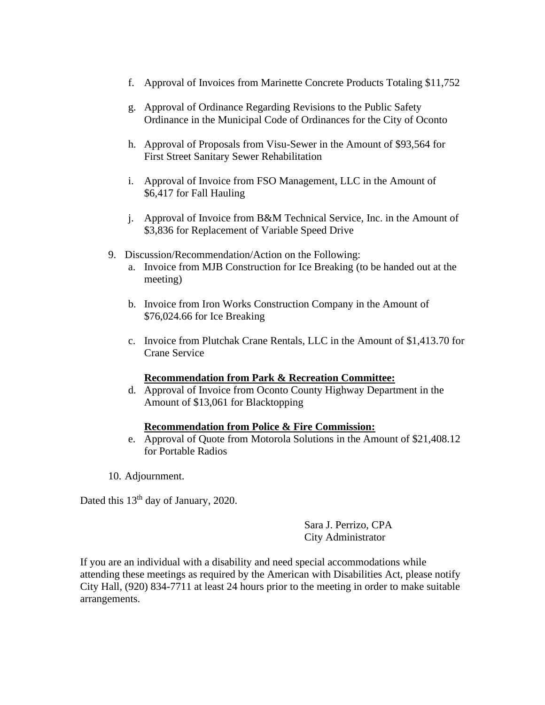- f. Approval of Invoices from Marinette Concrete Products Totaling \$11,752
- g. Approval of Ordinance Regarding Revisions to the Public Safety Ordinance in the Municipal Code of Ordinances for the City of Oconto
- h. Approval of Proposals from Visu-Sewer in the Amount of \$93,564 for First Street Sanitary Sewer Rehabilitation
- i. Approval of Invoice from FSO Management, LLC in the Amount of \$6,417 for Fall Hauling
- j. Approval of Invoice from B&M Technical Service, Inc. in the Amount of \$3,836 for Replacement of Variable Speed Drive
- 9. Discussion/Recommendation/Action on the Following:
	- a. Invoice from MJB Construction for Ice Breaking (to be handed out at the meeting)
	- b. Invoice from Iron Works Construction Company in the Amount of \$76,024.66 for Ice Breaking
	- c. Invoice from Plutchak Crane Rentals, LLC in the Amount of \$1,413.70 for Crane Service

## **Recommendation from Park & Recreation Committee:**

d. Approval of Invoice from Oconto County Highway Department in the Amount of \$13,061 for Blacktopping

## **Recommendation from Police & Fire Commission:**

- e. Approval of Quote from Motorola Solutions in the Amount of \$21,408.12 for Portable Radios
- 10. Adjournment.

Dated this  $13<sup>th</sup>$  day of January, 2020.

Sara J. Perrizo, CPA City Administrator

If you are an individual with a disability and need special accommodations while attending these meetings as required by the American with Disabilities Act, please notify City Hall, (920) 834-7711 at least 24 hours prior to the meeting in order to make suitable arrangements.